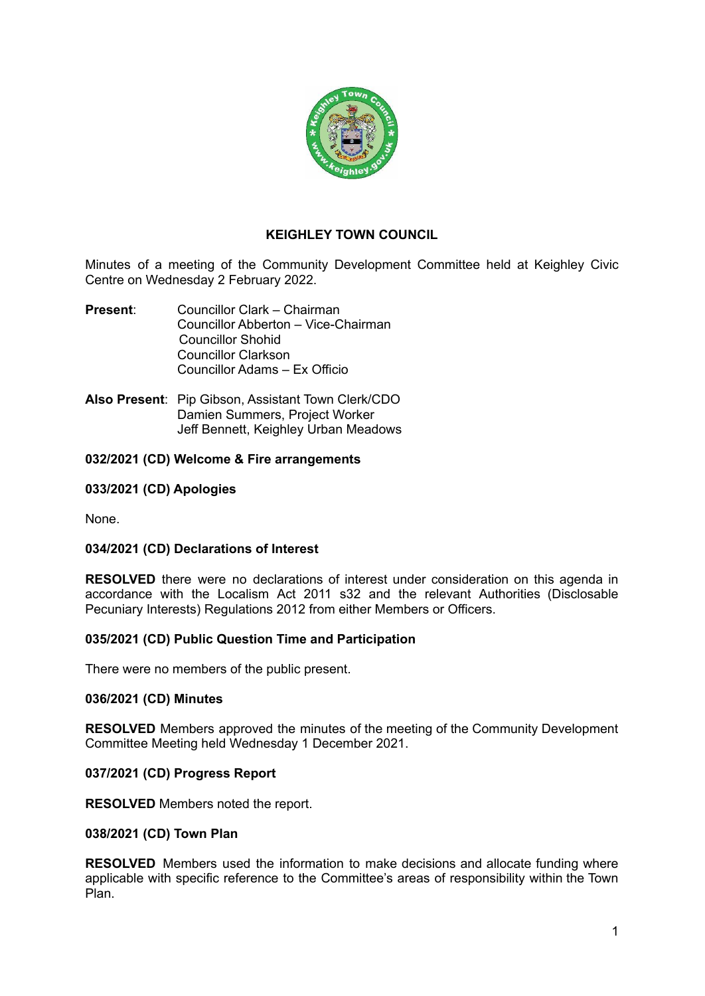

# **KEIGHLEY TOWN COUNCIL**

Minutes of a meeting of the Community Development Committee held at Keighley Civic Centre on Wednesday 2 February 2022.

- **Present**: Councillor Clark Chairman Councillor Abberton – Vice-Chairman Councillor Shohid Councillor Clarkson Councillor Adams – Ex Officio
- **Also Present**: Pip Gibson, Assistant Town Clerk/CDO Damien Summers, Project Worker Jeff Bennett, Keighley Urban Meadows

## **032/2021 (CD) Welcome & Fire arrangements**

## **033/2021 (CD) Apologies**

None.

## **034/2021 (CD) Declarations of Interest**

**RESOLVED** there were no declarations of interest under consideration on this agenda in accordance with the Localism Act 2011 s32 and the relevant Authorities (Disclosable Pecuniary Interests) Regulations 2012 from either Members or Officers.

### **035/2021 (CD) Public Question Time and Participation**

There were no members of the public present.

### **036/2021 (CD) Minutes**

**RESOLVED** Members approved the minutes of the meeting of the Community Development Committee Meeting held Wednesday 1 December 2021.

### **037/2021 (CD) Progress Report**

**RESOLVED** Members noted the report.

### **038/2021 (CD) Town Plan**

**RESOLVED** Members used the information to make decisions and allocate funding where applicable with specific reference to the Committee's areas of responsibility within the Town Plan.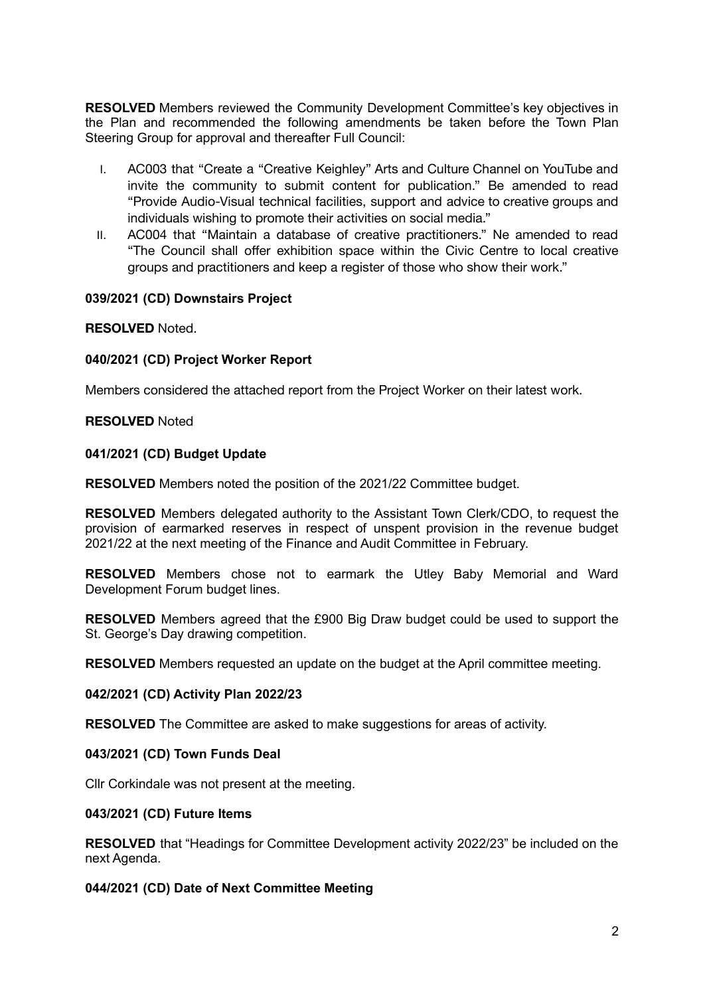**RESOLVED** Members reviewed the Community Development Committee's key objectives in the Plan and recommended the following amendments be taken before the Town Plan Steering Group for approval and thereafter Full Council:

- I. AC003 that "Create a "Creative Keighley" Arts and Culture Channel on YouTube and invite the community to submit content for publication." Be amended to read "Provide Audio-Visual technical facilities, support and advice to creative groups and individuals wishing to promote their activities on social media."
- II. AC004 that "Maintain a database of creative practitioners." Ne amended to read "The Council shall offer exhibition space within the Civic Centre to local creative groups and practitioners and keep a register of those who show their work."

## **039/2021 (CD) Downstairs Project**

## **RESOLVED** Noted.

## **040/2021 (CD) Project Worker Report**

Members considered the attached report from the Project Worker on their latest work.

### **RESOLVED** Noted

## **041/2021 (CD) Budget Update**

**RESOLVED** Members noted the position of the 2021/22 Committee budget.

**RESOLVED** Members delegated authority to the Assistant Town Clerk/CDO, to request the provision of earmarked reserves in respect of unspent provision in the revenue budget 2021/22 at the next meeting of the Finance and Audit Committee in February.

**RESOLVED** Members chose not to earmark the Utley Baby Memorial and Ward Development Forum budget lines.

**RESOLVED** Members agreed that the £900 Big Draw budget could be used to support the St. George's Day drawing competition.

**RESOLVED** Members requested an update on the budget at the April committee meeting.

### **042/2021 (CD) Activity Plan 2022/23**

**RESOLVED** The Committee are asked to make suggestions for areas of activity.

### **043/2021 (CD) Town Funds Deal**

Cllr Corkindale was not present at the meeting.

### **043/2021 (CD) Future Items**

**RESOLVED** that "Headings for Committee Development activity 2022/23" be included on the next Agenda.

## **044/2021 (CD) Date of Next Committee Meeting**